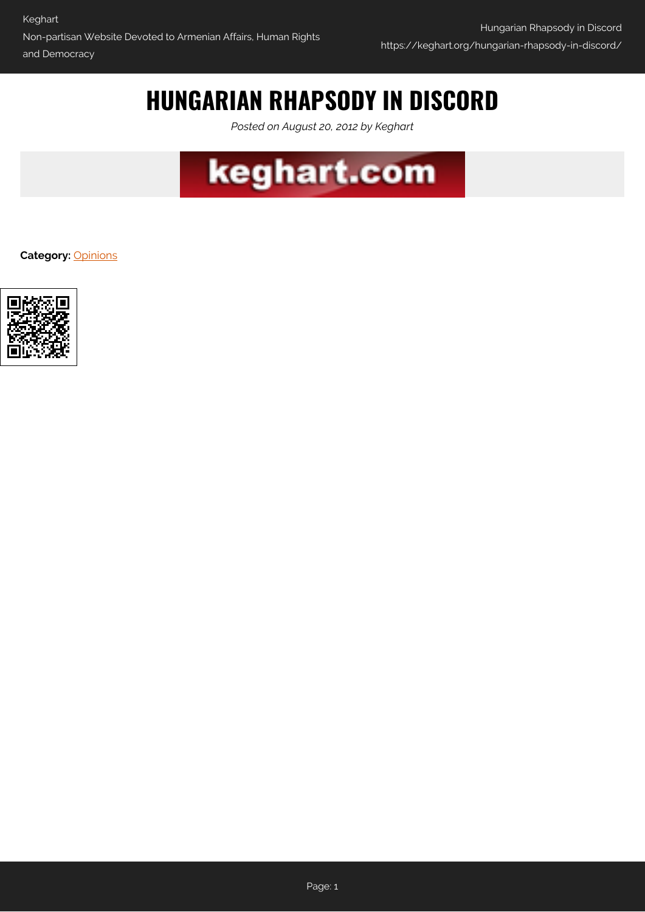## **HUNGARIAN RHAPSODY IN DISCORD**

*Posted on August 20, 2012 by Keghart*



**Category:** [Opinions](https://keghart.org/category/opinions/)

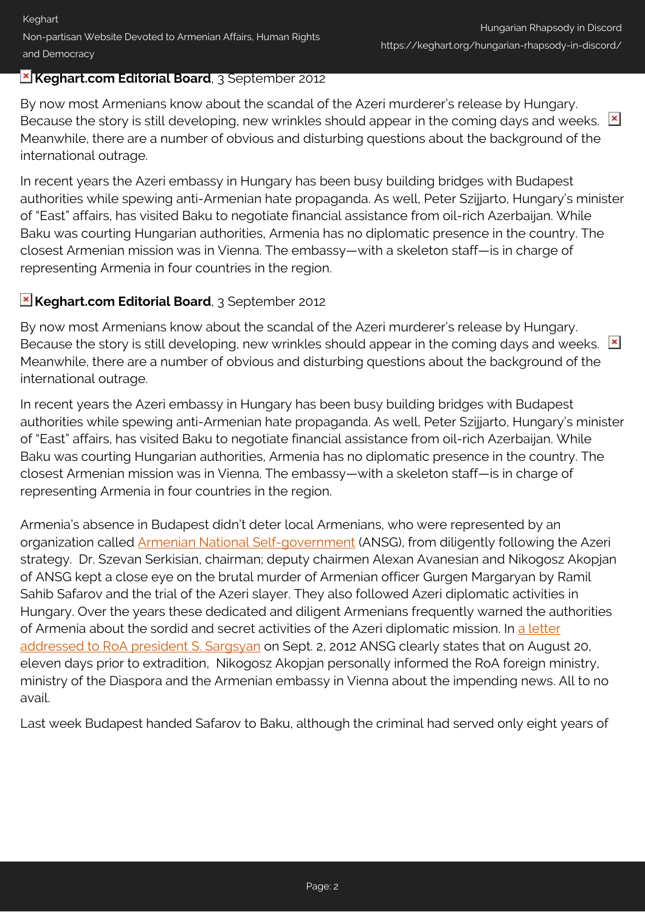## **Keghart.com Editorial Board**, 3 September 2012

By now most Armenians know about the scandal of the Azeri murderer's release by Hungary. Because the story is still developing, new wrinkles should appear in the coming days and weeks.  $\mathbb{E}$ Meanwhile, there are a number of obvious and disturbing questions about the background of the international outrage.

In recent years the Azeri embassy in Hungary has been busy building bridges with Budapest authorities while spewing anti-Armenian hate propaganda. As well, Peter Szijjarto, Hungary's minister of "East" affairs, has visited Baku to negotiate financial assistance from oil-rich Azerbaijan. While Baku was courting Hungarian authorities, Armenia has no diplomatic presence in the country. The closest Armenian mission was in Vienna. The embassy—with a skeleton staff—is in charge of representing Armenia in four countries in the region.

## **Keghart.com Editorial Board**, 3 September 2012

By now most Armenians know about the scandal of the Azeri murderer's release by Hungary. Because the story is still developing, new wrinkles should appear in the coming days and weeks.  $\mathbb{E}$ Meanwhile, there are a number of obvious and disturbing questions about the background of the international outrage.

In recent years the Azeri embassy in Hungary has been busy building bridges with Budapest authorities while spewing anti-Armenian hate propaganda. As well, Peter Szijjarto, Hungary's minister of "East" affairs, has visited Baku to negotiate financial assistance from oil-rich Azerbaijan. While Baku was courting Hungarian authorities, Armenia has no diplomatic presence in the country. The closest Armenian mission was in Vienna. The embassy—with a skeleton staff—is in charge of representing Armenia in four countries in the region.

Armenia's absence in Budapest didn't deter local Armenians, who were represented by an organization called [Armenian National Self-government](http://www.orszagosormenyonk.hu/) (ANSG), from diligently following the Azeri strategy. Dr. Szevan Serkisian, chairman; deputy chairmen Alexan Avanesian and Nikogosz Akopjan of ANSG kept a close eye on the brutal murder of Armenian officer Gurgen Margaryan by Ramil Sahib Safarov and the trial of the Azeri slayer. They also followed Azeri diplomatic activities in Hungary. Over the years these dedicated and diligent Armenians frequently warned the authorities of Armenia about the sordid and secret activities of the Azeri diplomatic mission. In [a letter](http://www.keghart.com/Hungary-Letter) [addressed to RoA president S. Sargsyan](http://www.keghart.com/Hungary-Letter) on Sept. 2, 2012 ANSG clearly states that on August 20, eleven days prior to extradition, Nikogosz Akopjan personally informed the RoA foreign ministry, ministry of the Diaspora and the Armenian embassy in Vienna about the impending news. All to no avail.

Last week Budapest handed Safarov to Baku, although the criminal had served only eight years of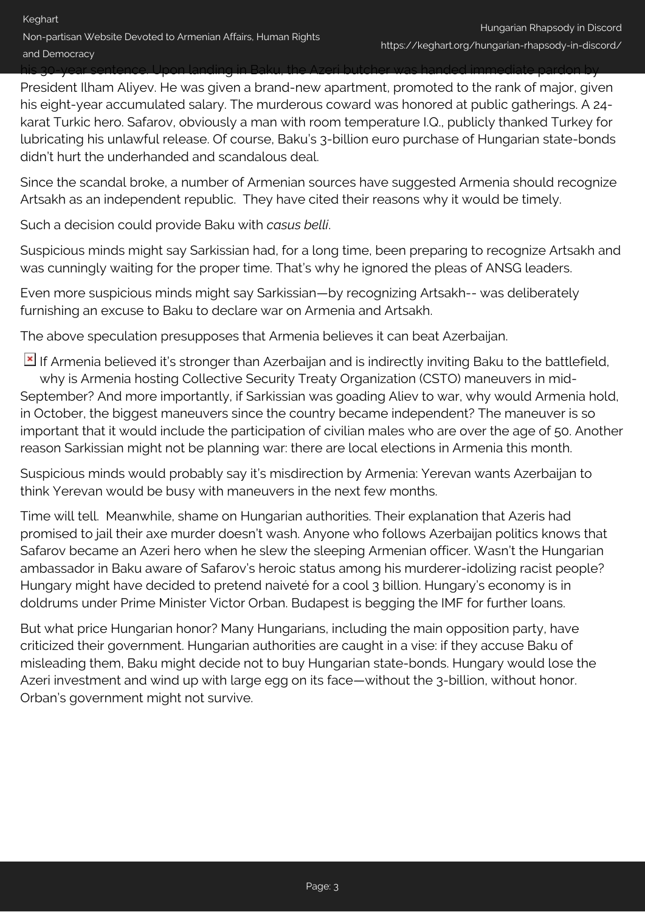his 30-year sentence. Upon landing in Baku, the Azeri butcher was handed immediate pardon by President Ilham Aliyev. He was given a brand-new apartment, promoted to the rank of major, given his eight-year accumulated salary. The murderous coward was honored at public gatherings. A 24 karat Turkic hero. Safarov, obviously a man with room temperature I.Q., publicly thanked Turkey for lubricating his unlawful release. Of course, Baku's 3-billion euro purchase of Hungarian state-bonds didn't hurt the underhanded and scandalous deal.

Since the scandal broke, a number of Armenian sources have suggested Armenia should recognize Artsakh as an independent republic. They have cited their reasons why it would be timely.

Such a decision could provide Baku with *casus belli*.

Suspicious minds might say Sarkissian had, for a long time, been preparing to recognize Artsakh and was cunningly waiting for the proper time. That's why he ignored the pleas of ANSG leaders.

Even more suspicious minds might say Sarkissian—by recognizing Artsakh-- was deliberately furnishing an excuse to Baku to declare war on Armenia and Artsakh.

The above speculation presupposes that Armenia believes it can beat Azerbaijan.

If Armenia believed it's stronger than Azerbaijan and is indirectly inviting Baku to the battlefield, why is Armenia hosting Collective Security Treaty Organization (CSTO) maneuvers in mid-September? And more importantly, if Sarkissian was goading Aliev to war, why would Armenia hold, in October, the biggest maneuvers since the country became independent? The maneuver is so important that it would include the participation of civilian males who are over the age of 50. Another reason Sarkissian might not be planning war: there are local elections in Armenia this month.

Suspicious minds would probably say it's misdirection by Armenia: Yerevan wants Azerbaijan to think Yerevan would be busy with maneuvers in the next few months.

Time will tell. Meanwhile, shame on Hungarian authorities. Their explanation that Azeris had promised to jail their axe murder doesn't wash. Anyone who follows Azerbaijan politics knows that Safarov became an Azeri hero when he slew the sleeping Armenian officer. Wasn't the Hungarian ambassador in Baku aware of Safarov's heroic status among his murderer-idolizing racist people? Hungary might have decided to pretend naiveté for a cool 3 billion. Hungary's economy is in doldrums under Prime Minister Victor Orban. Budapest is begging the IMF for further loans.

But what price Hungarian honor? Many Hungarians, including the main opposition party, have criticized their government. Hungarian authorities are caught in a vise: if they accuse Baku of misleading them, Baku might decide not to buy Hungarian state-bonds. Hungary would lose the Azeri investment and wind up with large egg on its face—without the 3-billion, without honor. Orban's government might not survive.